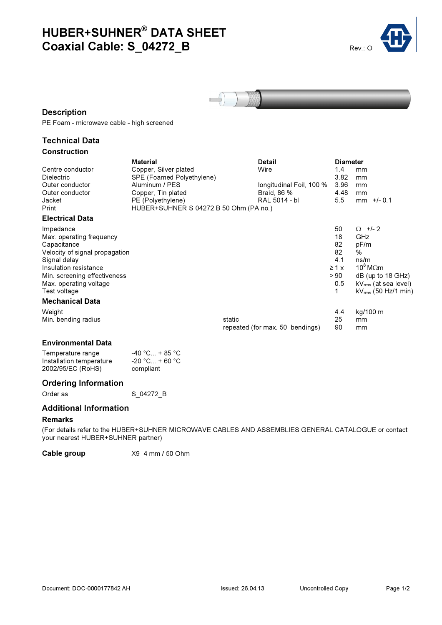# HUBER+SUHNER® DATA SHEET Coaxial Cable: S\_04272\_B Rev.: O





## **Description**

PE Foam - microwave cable - high screened

## Technical Data Construction

|                                | Material                               |        | Detail                          | <b>Diameter</b> |                           |
|--------------------------------|----------------------------------------|--------|---------------------------------|-----------------|---------------------------|
| Centre conductor               | Copper, Silver plated                  |        | Wire                            | 1.4             | mm                        |
| <b>Dielectric</b>              | SPE (Foamed Polyethylene)              |        |                                 | 3.82            | mm                        |
| Outer conductor                | Aluminum / PES                         |        | longitudinal Foil, 100 %        | 3.96            | mm                        |
| Outer conductor                | Copper, Tin plated                     |        | Braid, 86 %                     | 4.48            | mm                        |
| Jacket                         | PE (Polyethylene)                      |        | RAL 5014 - bl                   | 5.5             | $mm$ +/- 0.1              |
| Print                          | HUBER+SUHNER S 04272 B 50 Ohm (PA no.) |        |                                 |                 |                           |
| <b>Electrical Data</b>         |                                        |        |                                 |                 |                           |
| Impedance                      |                                        |        |                                 | 50              | $\Omega$ +/- 2            |
| Max. operating frequency       |                                        |        |                                 | 18              | GHz                       |
| Capacitance                    |                                        |        |                                 | 82              | pF/m                      |
| Velocity of signal propagation |                                        |        |                                 | 82              | $\frac{0}{0}$             |
| Signal delay                   |                                        |        |                                 | 4.1             | ns/m                      |
| Insulation resistance          |                                        |        |                                 | $\geq 1$ x      | $10^8$ M $\Omega$ m       |
| Min. screening effectiveness   |                                        |        |                                 | > 90            | $dB$ (up to 18 GHz)       |
| Max. operating voltage         |                                        |        |                                 | 0.5             | $kV_{rms}$ (at sea level) |
| Test voltage                   |                                        |        |                                 | 1               | $kV_{rms}$ (50 Hz/1 min)  |
| <b>Mechanical Data</b>         |                                        |        |                                 |                 |                           |
| Weight                         |                                        |        |                                 | 4.4             | kg/100 m                  |
| Min. bending radius            |                                        | static |                                 | 25              | mm                        |
|                                |                                        |        | repeated (for max. 50 bendings) | 90              | mm                        |
|                                |                                        |        |                                 |                 |                           |

## Environmental Data

| Temperature range        | $-40 °C_{\dots} + 85 °C$ |
|--------------------------|--------------------------|
| Installation temperature | $-20 °C_{\dots} + 60 °C$ |
| 2002/95/EC (RoHS)        | compliant                |

## Ordering Information

Order as S 04272 B

#### Additional Information

#### Remarks

(For details refer to the HUBER+SUHNER MICROWAVE CABLES AND ASSEMBLIES GENERAL CATALOGUE or contact your nearest HUBER+SUHNER partner)

Cable group X9 4 mm / 50 Ohm